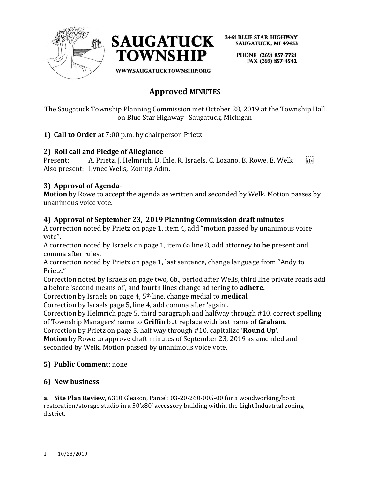



> PHONE (269) 857-7721 FAX (269) 857-4542

**WWW.SAUGATUCKTOWNSHIP.ORG** 

# **Approved MINUTES**

The Saugatuck Township Planning Commission met October 28, 2019 at the Township Hall on Blue Star Highway Saugatuck, Michigan

**1) Call to Order** at 7:00 p.m. by chairperson Prietz.

#### **2) Roll call and Pledge of Allegiance**

Present: A. Prietz, J. Helmrich, D. Ihle, R. Israels, C. Lozano, B. Rowe, E. Welk [17] Also present: Lynee Wells, Zoning Adm.

### **3) Approval of Agenda-**

**Motion** by Rowe to accept the agenda as written and seconded by Welk. Motion passes by unanimous voice vote.

#### **4) Approval of September 23, 2019 Planning Commission draft minutes**

A correction noted by Prietz on page 1, item 4, add "motion passed by unanimous voice vote"**.**

A correction noted by Israels on page 1, item 6a line 8, add attorney **to be** present and comma after rules.

A correction noted by Prietz on page 1, last sentence, change language from "Andy to Prietz."

Correction noted by Israels on page two, 6b., period after Wells, third line private roads add **a** before 'second means of', and fourth lines change adhering to **adhere.**

Correction by Israels on page 4, 5th line, change medial to **medical**

Correction by Israels page 5, line 4, add comma after 'again'.

Correction by Helmrich page 5, third paragraph and halfway through #10, correct spelling of Township Managers' name to **Griffin** but replace with last name of **Graham.** 

Correction by Prietz on page 5, half way through #10, capitalize '**Round Up'**.

**Motion** by Rowe to approve draft minutes of September 23, 2019 as amended and seconded by Welk. Motion passed by unanimous voice vote.

#### **5) Public Comment**: none

#### **6) New business**

**a. Site Plan Review,** 6310 Gleason, Parcel: 03-20-260-005-00 for a woodworking/boat restoration/storage studio in a 50'x80' accessory building within the Light Industrial zoning district.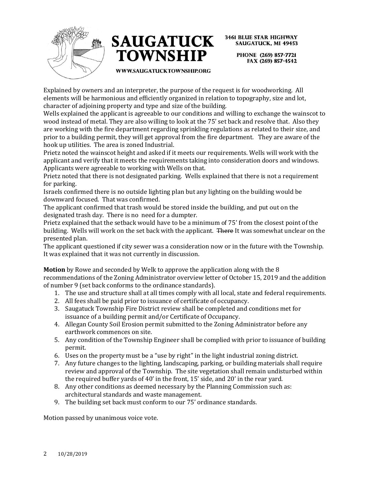



> PHONE (269) 857-7721 FAX (269) 857-4542

WWW.SAUGATUCKTOWNSHIP.ORG

Explained by owners and an interpreter, the purpose of the request is for woodworking. All elements will be harmonious and efficiently organized in relation to topography, size and lot, character of adjoining property and type and size of the building.

Wells explained the applicant is agreeable to our conditions and willing to exchange the wainscot to wood instead of metal. They are also willing to look at the 75' set back and resolve that. Also they are working with the fire department regarding sprinkling regulations as related to their size, and prior to a building permit, they will get approval from the fire department. They are aware of the hook up utilities. The area is zoned Industrial.

Prietz noted the wainscot height and asked if it meets our requirements. Wells will work with the applicant and verify that it meets the requirements taking into consideration doors and windows. Applicants were agreeable to working with Wells on that.

Prietz noted that there is not designated parking. Wells explained that there is not a requirement for parking.

Israels confirmed there is no outside lighting plan but any lighting on the building would be downward focused. That was confirmed.

The applicant confirmed that trash would be stored inside the building, and put out on the designated trash day. There is no need for a dumpter.

Prietz explained that the setback would have to be a minimum of 75' from the closest point of the building. Wells will work on the set back with the applicant. There It was somewhat unclear on the presented plan.

The applicant questioned if city sewer was a consideration now or in the future with the Township. It was explained that it was not currently in discussion.

**Motion** by Rowe and seconded by Welk to approve the application along with the 8 recommendations of the Zoning Administrator overview letter of October 15, 2019 and the addition of number 9 (set back conforms to the ordinance standards).

- 1. The use and structure shall at all times comply with all local, state and federal requirements.
- 2. All fees shall be paid prior to issuance of certificate of occupancy.
- 3. Saugatuck Township Fire District review shall be completed and conditions met for issuance of a building permit and/or Certificate of Occupancy.
- 4. Allegan County Soil Erosion permit submitted to the Zoning Administrator before any earthwork commences on site.
- 5. Any condition of the Township Engineer shall be complied with prior to issuance of building permit.
- 6. Uses on the property must be a "use by right" in the light industrial zoning district.
- 7. Any future changes to the lighting, landscaping, parking, or building materials shall require review and approval of the Township. The site vegetation shall remain undisturbed within the required buffer yards of 40' in the front, 15' side, and 20' in the rear yard.
- 8. Any other conditions as deemed necessary by the Planning Commission such as: architectural standards and waste management.
- 9. The building set back must conform to our 75' ordinance standards.

Motion passed by unanimous voice vote.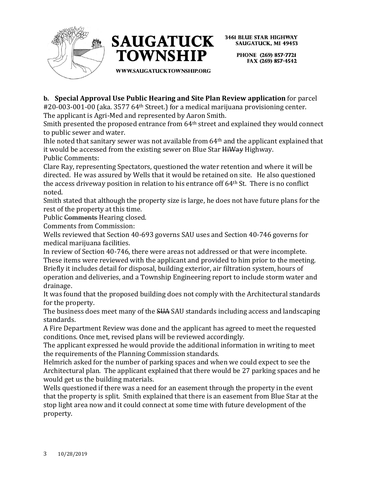



> PHONE (269) 857-7721 FAX (269) 857-4542

WWW.SAUGATUCKTOWNSHIP.ORG

**b. Special Approval Use Public Hearing and Site Plan Review application** for parcel

#20-003-001-00 (aka. 3577 64th Street.) for a medical marijuana provisioning center. The applicant is Agri-Med and represented by Aaron Smith.

Smith presented the proposed entrance from 64<sup>th</sup> street and explained they would connect to public sewer and water.

Ihle noted that sanitary sewer was not available from 64th and the applicant explained that it would be accessed from the existing sewer on Blue Star HiWay Highway. Public Comments:

Clare Ray, representing Spectators, questioned the water retention and where it will be directed. He was assured by Wells that it would be retained on site. He also questioned the access driveway position in relation to his entrance off 64th St. There is no conflict noted.

Smith stated that although the property size is large, he does not have future plans for the rest of the property at this time.

Public Comments Hearing closed.

Comments from Commission:

Wells reviewed that Section 40-693 governs SAU uses and Section 40-746 governs for medical marijuana facilities.

In review of Section 40-746, there were areas not addressed or that were incomplete. These items were reviewed with the applicant and provided to him prior to the meeting. Briefly it includes detail for disposal, building exterior, air filtration system, hours of operation and deliveries, and a Township Engineering report to include storm water and drainage.

It was found that the proposed building does not comply with the Architectural standards for the property.

The business does meet many of the SUA SAU standards including access and landscaping standards.

A Fire Department Review was done and the applicant has agreed to meet the requested conditions. Once met, revised plans will be reviewed accordingly.

The applicant expressed he would provide the additional information in writing to meet the requirements of the Planning Commission standards.

Helmrich asked for the number of parking spaces and when we could expect to see the Architectural plan. The applicant explained that there would be 27 parking spaces and he would get us the building materials.

Wells questioned if there was a need for an easement through the property in the event that the property is split. Smith explained that there is an easement from Blue Star at the stop light area now and it could connect at some time with future development of the property.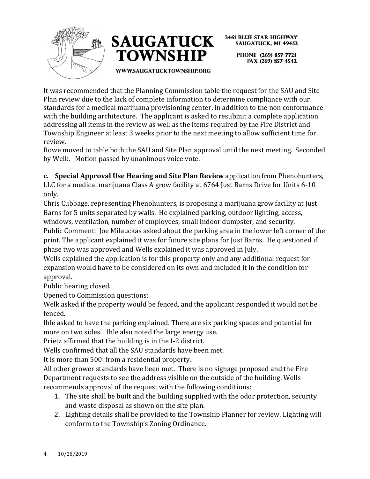



PHONE (269) 857-7721 FAX (269) 857-4542

WWW.SAUGATUCKTOWNSHIP.ORG

It was recommended that the Planning Commission table the request for the SAU and Site Plan review due to the lack of complete information to determine compliance with our standards for a medical marijuana provisioning center, in addition to the non conformance with the building architecture. The applicant is asked to resubmit a complete application addressing all items in the review as well as the items required by the Fire District and Township Engineer at least 3 weeks prior to the next meeting to allow sufficient time for review.

Rowe moved to table both the SAU and Site Plan approval until the next meeting. Seconded by Welk. Motion passed by unanimous voice vote.

**c. Special Approval Use Hearing and Site Plan Review** application from Phenohunters, LLC for a medical marijuana Class A grow facility at 6764 Just Barns Drive for Units 6-10 only.

Chris Cubbage, representing Phenohunters, is proposing a marijuana grow facility at Just Barns for 5 units separated by walls. He explained parking, outdoor lighting, access, windows, ventilation, number of employees, small indoor dumpster, and security.

Public Comment: Joe Milauckas asked about the parking area in the lower left corner of the print. The applicant explained it was for future site plans for Just Barns. He questioned if phase two was approved and Wells explained it was approved in July.

Wells explained the application is for this property only and any additional request for expansion would have to be considered on its own and included it in the condition for approval.

Public hearing closed.

Opened to Commission questions:

Welk asked if the property would be fenced, and the applicant responded it would not be fenced.

Ihle asked to have the parking explained. There are six parking spaces and potential for more on two sides. Ihle also noted the large energy use.

Prietz affirmed that the building is in the I-2 district.

Wells confirmed that all the SAU standards have been met.

It is more than 500' from a residential property.

All other grower standards have been met. There is no signage proposed and the Fire Department requests to see the address visible on the outside of the building. Wells recommends approval of the request with the following conditions:

- 1. The site shall be built and the building supplied with the odor protection, security and waste disposal as shown on the site plan.
- 2. Lighting details shall be provided to the Township Planner for review. Lighting will conform to the Township's Zoning Ordinance.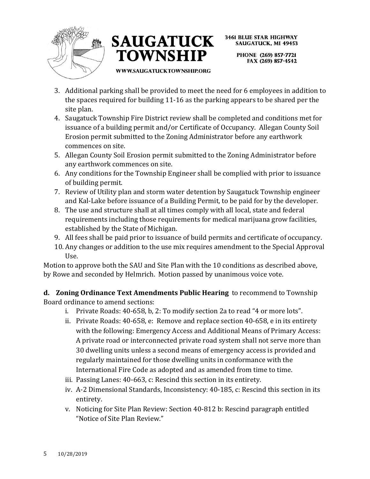



> PHONE (269) 857-7721 FAX (269) 857-4542

WWW.SAUGATUCKTOWNSHIP.ORG

- 3. Additional parking shall be provided to meet the need for 6 employees in addition to the spaces required for building 11-16 as the parking appears to be shared per the site plan.
- 4. Saugatuck Township Fire District review shall be completed and conditions met for issuance of a building permit and/or Certificate of Occupancy. Allegan County Soil Erosion permit submitted to the Zoning Administrator before any earthwork commences on site.
- 5. Allegan County Soil Erosion permit submitted to the Zoning Administrator before any earthwork commences on site.
- 6. Any conditions for the Township Engineer shall be complied with prior to issuance of building permit.
- 7. Review of Utility plan and storm water detention by Saugatuck Township engineer and Kal-Lake before issuance of a Building Permit, to be paid for by the developer.
- 8. The use and structure shall at all times comply with all local, state and federal requirements including those requirements for medical marijuana grow facilities, established by the State of Michigan.
- 9. All fees shall be paid prior to issuance of build permits and certificate of occupancy.
- 10. Any changes or addition to the use mix requires amendment to the Special Approval Use.

Motion to approve both the SAU and Site Plan with the 10 conditions as described above, by Rowe and seconded by Helmrich. Motion passed by unanimous voice vote.

**d. Zoning Ordinance Text Amendments Public Hearing** to recommend to Township Board ordinance to amend sections:

- i. Private Roads: 40-658, b, 2: To modify section 2a to read "4 or more lots".
- ii. Private Roads: 40-658, e: Remove and replace section 40-658, e in its entirety with the following: Emergency Access and Additional Means of Primary Access: A private road or interconnected private road system shall not serve more than 30 dwelling units unless a second means of emergency access is provided and regularly maintained for those dwelling units in conformance with the International Fire Code as adopted and as amended from time to time.
- iii. Passing Lanes: 40-663, c: Rescind this section in its entirety.
- iv. A-2 Dimensional Standards, Inconsistency: 40-185, c: Rescind this section in its entirety.
- v. Noticing for Site Plan Review: Section 40-812 b: Rescind paragraph entitled "Notice of Site Plan Review."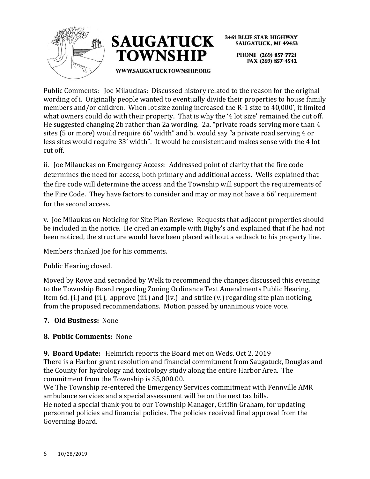



**3461 BLUE STAR HIGHWAY SAUGATUCK, MI 49453** PHONE (269) 857-7721 FAX (269) 857-4542

**WWW.SAUGATUCKTOWNSHIP.ORG** 

Public Comments: Joe Milauckas: Discussed history related to the reason for the original wording of i. Originally people wanted to eventually divide their properties to house family members and/or children. When lot size zoning increased the R-1 size to 40,000', it limited what owners could do with their property. That is why the '4 lot size' remained the cut off. He suggested changing 2b rather than 2a wording. 2a. "private roads serving more than 4 sites (5 or more) would require 66' width" and b. would say "a private road serving 4 or less sites would require 33' width". It would be consistent and makes sense with the 4 lot cut off.

ii. Joe Milauckas on Emergency Access: Addressed point of clarity that the fire code determines the need for access, both primary and additional access. Wells explained that the fire code will determine the access and the Township will support the requirements of the Fire Code. They have factors to consider and may or may not have a 66' requirement for the second access.

v. Joe Milaukus on Noticing for Site Plan Review: Requests that adjacent properties should be included in the notice. He cited an example with Bigby's and explained that if he had not been noticed, the structure would have been placed without a setback to his property line.

Members thanked Joe for his comments.

Public Hearing closed.

Moved by Rowe and seconded by Welk to recommend the changes discussed this evening to the Township Board regarding Zoning Ordinance Text Amendments Public Hearing, Item 6d. (i.) and (ii.), approve (iii.) and (iv.) and strike (v.) regarding site plan noticing, from the proposed recommendations. Motion passed by unanimous voice vote.

## **7. Old Business:** None

## **8. Public Comments:** None

**9. Board Update:** Helmrich reports the Board met on Weds. Oct 2, 2019 There is a Harbor grant resolution and financial commitment from Saugatuck, Douglas and the County for hydrology and toxicology study along the entire Harbor Area. The commitment from the Township is \$5,000.00.

We The Township re-entered the Emergency Services commitment with Fennville AMR ambulance services and a special assessment will be on the next tax bills. He noted a special thank-you to our Township Manager, Griffin Graham, for updating personnel policies and financial policies. The policies received final approval from the Governing Board.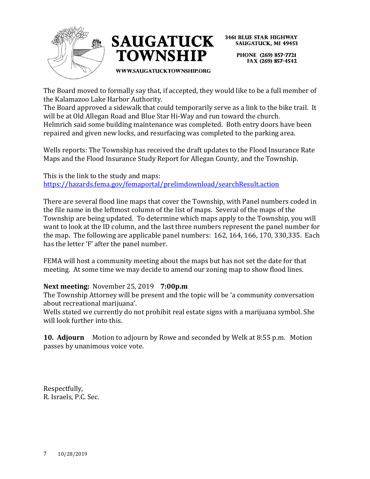



> PHONE (269) 857-7721 FAX (269) 857-4542

WWW.SAUGATUCKTOWNSHIP.ORG

The Board moved to formally say that, if accepted, they would like to be a full member of the Kalamazoo Lake Harbor Authority.

The Board approved a sidewalk that could temporarily serve as a link to the bike trail. It will be at Old Allegan Road and Blue Star Hi-Way and run toward the church. Helmrich said some building maintenance was completed. Both entry doors have been repaired and given new locks, and resurfacing was completed to the parking area.

Wells reports: The Township has received the draft updates to the Flood Insurance Rate Maps and the Flood Insurance Study Report for Allegan County, and the Township.

This is the link to the study and maps: <https://hazards.fema.gov/femaportal/prelimdownload/searchResult.action>

There are several flood line maps that cover the Township, with Panel numbers coded in the file name in the leftmost column of the list of maps. Several of the maps of the Township are being updated. To determine which maps apply to the Township, you will want to look at the ID column, and the last three numbers represent the panel number for the map. The following are applicable panel numbers: 162, 164, 166, 170, 330,335. Each has the letter 'F' after the panel number.

FEMA will host a community meeting about the maps but has not set the date for that meeting. At some time we may decide to amend our zoning map to show flood lines.

#### **Next meeting:** November 25, 2019 **7:00p.m**

The Township Attorney will be present and the topic will be 'a community conversation about recreational marijuana'.

Wells stated we currently do not prohibit real estate signs with a marijuana symbol. She will look further into this.

**10. Adjourn** Motion to adjourn by Rowe and seconded by Welk at 8:55 p.m. Motion passes by unanimous voice vote.

Respectfully, R. Israels, P.C. Sec.